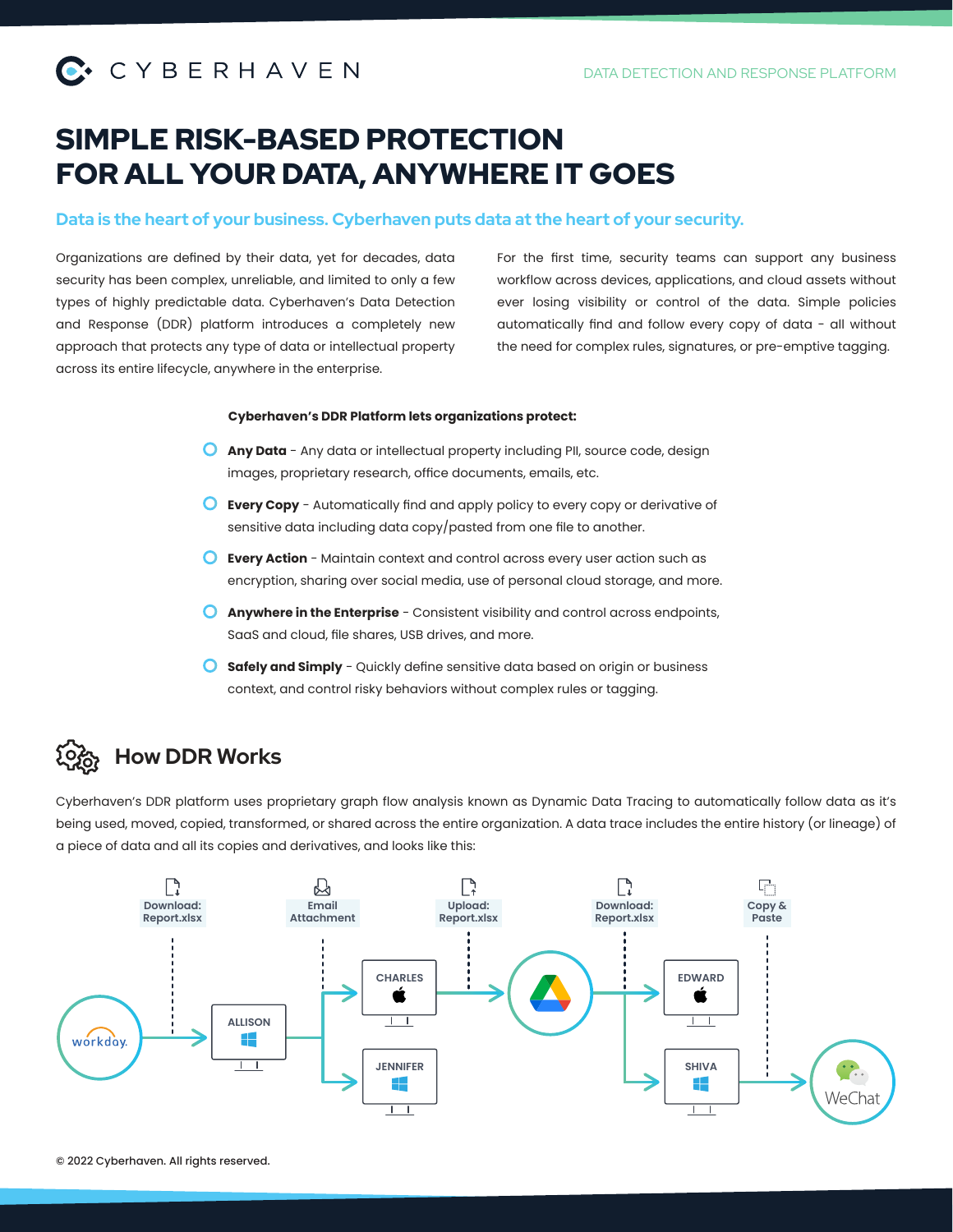# SIMPLE RISK-BASED PROTECTION FOR ALL YOUR DATA, ANYWHERE IT GOES

### Data is the heart of your business. Cyberhaven puts data at the heart of your security.

Organizations are defined by their data, yet for decades, data security has been complex, unreliable, and limited to only a few types of highly predictable data. Cyberhaven's Data Detection and Response (DDR) platform introduces a completely new approach that protects any type of data or intellectual property across its entire lifecycle, anywhere in the enterprise.

For the first time, security teams can support any business workflow across devices, applications, and cloud assets without ever losing visibility or control of the data. Simple policies automatically find and follow every copy of data - all without the need for complex rules, signatures, or pre-emptive tagging.

#### **Cyberhaven's DDR Platform lets organizations protect:**

- **Any Data** Any data or intellectual property including PII, source code, design images, proprietary research, office documents, emails, etc.
- **Every Copy** Automatically find and apply policy to every copy or derivative of sensitive data including data copy/pasted from one file to another.
- **Every Action** Maintain context and control across every user action such as encryption, sharing over social media, use of personal cloud storage, and more.
- **Anywhere in the Enterprise** Consistent visibility and control across endpoints, SaaS and cloud, file shares, USB drives, and more.
- **Safely and Simply** Quickly define sensitive data based on origin or business context, and control risky behaviors without complex rules or tagging.

# How DDR Works

Cyberhaven's DDR platform uses proprietary graph flow analysis known as Dynamic Data Tracing to automatically follow data as it's being used, moved, copied, transformed, or shared across the entire organization. A data trace includes the entire history (or lineage) of a piece of data and all its copies and derivatives, and looks like this: